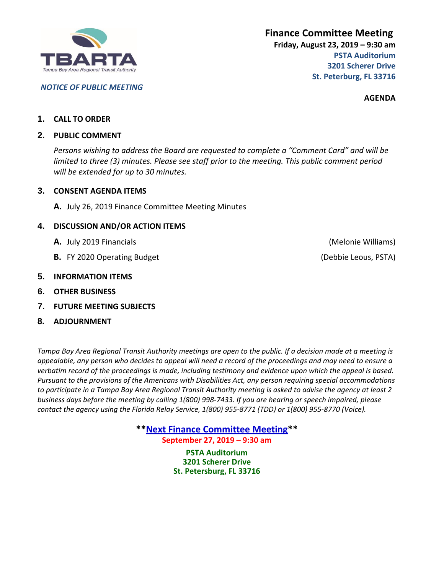

# *NOTICE OF PUBLIC MEETING*

**AGENDA**

# **1. CALL TO ORDER**

# **2. PUBLIC COMMENT**

*Persons wishing to address the Board are requested to complete a "Comment Card" and will be limited to three (3) minutes. Please see staff prior to the meeting. This public comment period will be extended for up to 30 minutes.*

# **3. CONSENT AGENDA ITEMS**

**A.** July 26, 2019 Finance Committee Meeting Minutes

# **4. DISCUSSION AND/OR ACTION ITEMS**

- **A.** July 2019 Financials (Melonie Williams) and the state of the state of the state of the state of the state of the state of the state of the state of the state of the state of the state of the state of the state of the
- **B.** FY 2020 Operating Budget (Debbie Leous, PSTA)

# **5. INFORMATION ITEMS**

- **6. OTHER BUSINESS**
- **7. FUTURE MEETING SUBJECTS**
- **8. ADJOURNMENT**

*Tampa Bay Area Regional Transit Authority meetings are open to the public. If a decision made at a meeting is appealable, any person who decides to appeal will need a record of the proceedings and may need to ensure a verbatim record of the proceedings is made, including testimony and evidence upon which the appeal is based. Pursuant to the provisions of the Americans with Disabilities Act, any person requiring special accommodations to participate in a Tampa Bay Area Regional Transit Authority meeting is asked to advise the agency at least 2 business days before the meeting by calling 1(800) 998-7433. If you are hearing or speech impaired, please contact the agency using the Florida Relay Service, 1(800) 955-8771 (TDD) or 1(800) 955-8770 (Voice).*

> **\*\*Next Finance Committee Meeting\*\* September 27, 2019 – 9:30 am**

**PSTA Auditorium 3201 Scherer Drive St. Petersburg, FL 33716**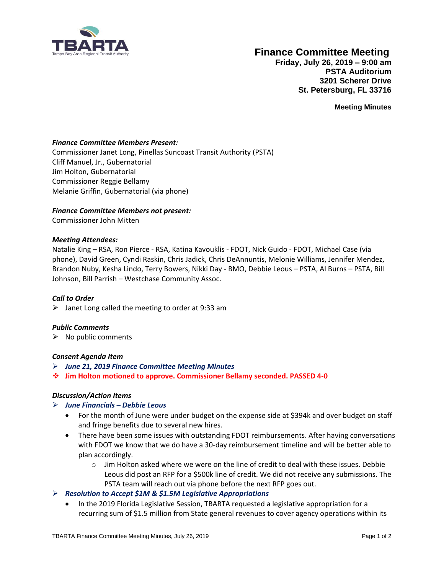

# **Finance Committee Meeting**

**Friday, July 26, 2019 – 9:00 am PSTA Auditorium 3201 Scherer Drive St. Petersburg, FL 33716**

**Meeting Minutes**

# *Finance Committee Members Present:*

Commissioner Janet Long, Pinellas Suncoast Transit Authority (PSTA) Cliff Manuel, Jr., Gubernatorial Jim Holton, Gubernatorial Commissioner Reggie Bellamy Melanie Griffin, Gubernatorial (via phone)

#### *Finance Committee Members not present:*

Commissioner John Mitten

#### *Meeting Attendees:*

Natalie King – RSA, Ron Pierce - RSA, Katina Kavouklis - FDOT, Nick Guido - FDOT, Michael Case (via phone), David Green, Cyndi Raskin, Chris Jadick, Chris DeAnnuntis, Melonie Williams, Jennifer Mendez, Brandon Nuby, Kesha Lindo, Terry Bowers, Nikki Day - BMO, Debbie Leous – PSTA, Al Burns – PSTA, Bill Johnson, Bill Parrish – Westchase Community Assoc.

#### *Call to Order*

 $\triangleright$  Janet Long called the meeting to order at 9:33 am

#### *Public Comments*

 $\triangleright$  No public comments

#### *Consent Agenda Item*

- ➢ *June 21, 2019 Finance Committee Meeting Minutes*
- ❖ **Jim Holton motioned to approve. Commissioner Bellamy seconded. PASSED 4-0**

#### *Discussion/Action Items*

#### ➢ *June Financials – Debbie Leous*

- For the month of June were under budget on the expense side at \$394k and over budget on staff and fringe benefits due to several new hires.
- There have been some issues with outstanding FDOT reimbursements. After having conversations with FDOT we know that we do have a 30-day reimbursement timeline and will be better able to plan accordingly.
	- $\circ$  Jim Holton asked where we were on the line of credit to deal with these issues. Debbie Leous did post an RFP for a \$500k line of credit. We did not receive any submissions. The PSTA team will reach out via phone before the next RFP goes out.

# ➢ *Resolution to Accept \$1M & \$1.5M Legislative Appropriations*

• In the 2019 Florida Legislative Session, TBARTA requested a legislative appropriation for a recurring sum of \$1.5 million from State general revenues to cover agency operations within its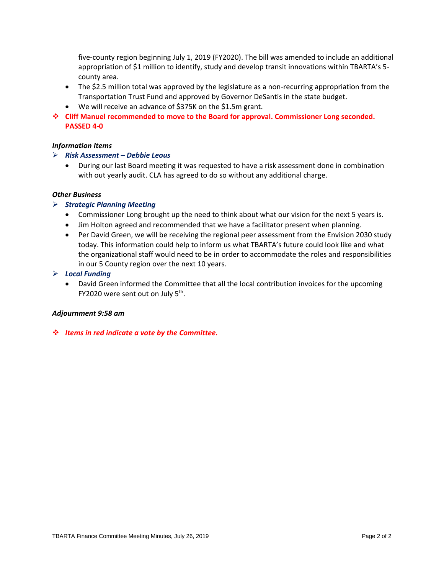five-county region beginning July 1, 2019 (FY2020). The bill was amended to include an additional appropriation of \$1 million to identify, study and develop transit innovations within TBARTA's 5 county area.

- The \$2.5 million total was approved by the legislature as a non-recurring appropriation from the Transportation Trust Fund and approved by Governor DeSantis in the state budget.
- We will receive an advance of \$375K on the \$1.5m grant.
- ❖ **Cliff Manuel recommended to move to the Board for approval. Commissioner Long seconded. PASSED 4-0**

#### *Information Items*

#### ➢ *Risk Assessment – Debbie Leous*

• During our last Board meeting it was requested to have a risk assessment done in combination with out yearly audit. CLA has agreed to do so without any additional charge.

# *Other Business*

#### ➢ *Strategic Planning Meeting*

- Commissioner Long brought up the need to think about what our vision for the next 5 years is.
- Jim Holton agreed and recommended that we have a facilitator present when planning.
- Per David Green, we will be receiving the regional peer assessment from the Envision 2030 study today. This information could help to inform us what TBARTA's future could look like and what the organizational staff would need to be in order to accommodate the roles and responsibilities in our 5 County region over the next 10 years.

#### ➢ *Local Funding*

• David Green informed the Committee that all the local contribution invoices for the upcoming FY2020 were sent out on July 5<sup>th</sup>.

#### *Adjournment 9:58 am*

❖ *Items in red indicate a vote by the Committee.*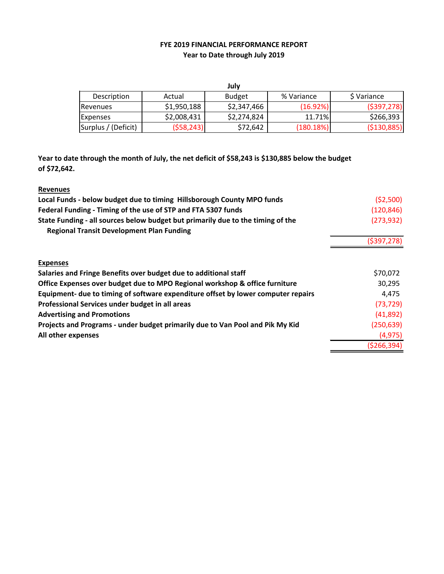# **FYE 2019 FINANCIAL PERFORMANCE REPORT Year to Date through July 2019**

|                     |             | July          |            |               |
|---------------------|-------------|---------------|------------|---------------|
| Description         | Actual      | <b>Budget</b> | % Variance | S Variance    |
| Revenues            | \$1,950,188 | \$2,347,466   | (16.92%)   | ( \$397, 278) |
| <b>Expenses</b>     | \$2,008,431 | \$2,274,824   | 11.71%     | \$266,393     |
| Surplus / (Deficit) | (558, 243)  | \$72,642      | (180.18%)  | ( \$130, 885) |

**Year to date through the month of July, the net deficit of \$58,243 is \$130,885 below the budget of \$72,642.**

| <b>Revenues</b>                                                                   |             |
|-----------------------------------------------------------------------------------|-------------|
| Local Funds - below budget due to timing Hillsborough County MPO funds            | (52,500)    |
| Federal Funding - Timing of the use of STP and FTA 5307 funds                     | (120, 846)  |
| State Funding - all sources below budget but primarily due to the timing of the   | (273, 932)  |
| <b>Regional Transit Development Plan Funding</b>                                  |             |
|                                                                                   | (5397, 278) |
|                                                                                   |             |
| <b>Expenses</b>                                                                   |             |
| Salaries and Fringe Benefits over budget due to additional staff                  | \$70,072    |
| Office Expenses over budget due to MPO Regional workshop & office furniture       | 30,295      |
| Equipment- due to timing of software expenditure offset by lower computer repairs | 4,475       |
| Professional Services under budget in all areas                                   | (73, 729)   |
| <b>Advertising and Promotions</b>                                                 | (41,892)    |
| Projects and Programs - under budget primarily due to Van Pool and Pik My Kid     | (250, 639)  |
| All other expenses                                                                | (4, 975)    |
|                                                                                   | (5266, 394) |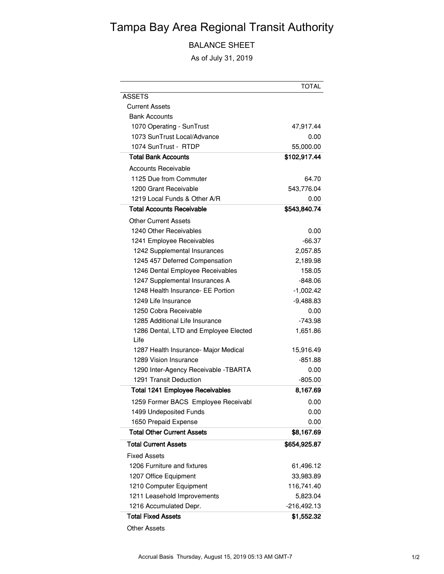# Tampa Bay Area Regional Transit Authority

BALANCE SHEET

As of July 31, 2019

|                                               | TOTAL         |
|-----------------------------------------------|---------------|
| <b>ASSETS</b>                                 |               |
| <b>Current Assets</b>                         |               |
| <b>Bank Accounts</b>                          |               |
| 1070 Operating - SunTrust                     | 47,917.44     |
| 1073 SunTrust Local/Advance                   | 0.00          |
| 1074 SunTrust - RTDP                          | 55,000.00     |
| <b>Total Bank Accounts</b>                    | \$102,917.44  |
| <b>Accounts Receivable</b>                    |               |
| 1125 Due from Commuter                        | 64.70         |
| 1200 Grant Receivable                         | 543,776.04    |
| 1219 Local Funds & Other A/R                  | 0.00          |
| <b>Total Accounts Receivable</b>              | \$543,840.74  |
| Other Current Assets                          |               |
| 1240 Other Receivables                        | 0.00          |
| 1241 Employee Receivables                     | $-66.37$      |
| 1242 Supplemental Insurances                  | 2,057.85      |
| 1245 457 Deferred Compensation                | 2,189.98      |
| 1246 Dental Employee Receivables              | 158.05        |
| 1247 Supplemental Insurances A                | $-848.06$     |
| 1248 Health Insurance- EE Portion             | $-1,002.42$   |
| 1249 Life Insurance                           | $-9,488.83$   |
| 1250 Cobra Receivable                         | 0.00          |
| 1285 Additional Life Insurance                | -743.98       |
| 1286 Dental, LTD and Employee Elected<br>Life | 1,651.86      |
| 1287 Health Insurance- Major Medical          | 15,916.49     |
| 1289 Vision Insurance                         | -851.88       |
| 1290 Inter-Agency Receivable - TBARTA         | 0.00          |
| 1291 Transit Deduction                        | $-805.00$     |
| <b>Total 1241 Employee Receivables</b>        | 8,167.69      |
| 1259 Former BACS Employee Receivabl           | 0.00          |
| 1499 Undeposited Funds                        | 0.00          |
| 1650 Prepaid Expense                          | 0.00          |
| <b>Total Other Current Assets</b>             | \$8,167.69    |
| <b>Total Current Assets</b>                   | \$654,925.87  |
| <b>Fixed Assets</b>                           |               |
| 1206 Furniture and fixtures                   | 61,496.12     |
| 1207 Office Equipment                         | 33,983.89     |
| 1210 Computer Equipment                       | 116,741.40    |
| 1211 Leasehold Improvements                   | 5,823.04      |
| 1216 Accumulated Depr.                        | $-216,492.13$ |
| <b>Total Fixed Assets</b>                     | \$1,552.32    |

Other Assets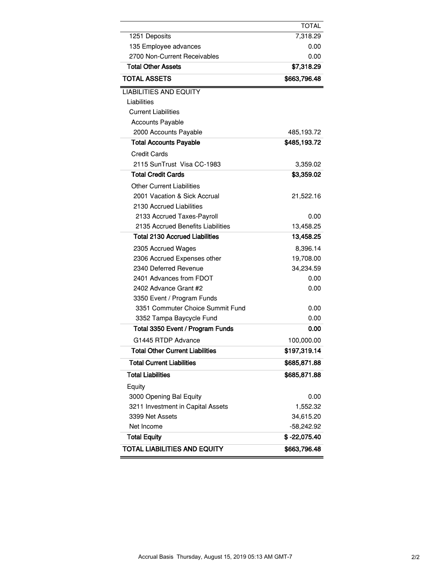|                                        | TOTAL        |
|----------------------------------------|--------------|
| 1251 Deposits                          | 7,318.29     |
| 135 Employee advances                  | 0.00         |
| 2700 Non-Current Receivables           | 0.00         |
| <b>Total Other Assets</b>              | \$7,318.29   |
| <b>TOTAL ASSETS</b>                    | \$663,796.48 |
| <b>LIABILITIES AND EQUITY</b>          |              |
| Liabilities                            |              |
| <b>Current Liabilities</b>             |              |
| <b>Accounts Payable</b>                |              |
| 2000 Accounts Payable                  | 485,193.72   |
| <b>Total Accounts Payable</b>          | \$485,193.72 |
| <b>Credit Cards</b>                    |              |
| 2115 SunTrust Visa CC-1983             | 3,359.02     |
| <b>Total Credit Cards</b>              | \$3,359.02   |
| Other Current Liabilities              |              |
| 2001 Vacation & Sick Accrual           | 21,522.16    |
| 2130 Accrued Liabilities               |              |
| 2133 Accrued Taxes-Payroll             | 0.00         |
| 2135 Accrued Benefits Liabilities      | 13,458.25    |
| <b>Total 2130 Accrued Liabilities</b>  | 13,458.25    |
| 2305 Accrued Wages                     | 8,396.14     |
| 2306 Accrued Expenses other            | 19,708.00    |
| 2340 Deferred Revenue                  | 34,234.59    |
| 2401 Advances from FDOT                | 0.00         |
| 2402 Advance Grant #2                  | 0.00         |
| 3350 Event / Program Funds             |              |
| 3351 Commuter Choice Summit Fund       | 0.00         |
| 3352 Tampa Baycycle Fund               | 0.00         |
| Total 3350 Event / Program Funds       | 0.00         |
| G1445 RTDP Advance                     | 100,000.00   |
| <b>Total Other Current Liabilities</b> | \$197,319.14 |
| <b>Total Current Liabilities</b>       | \$685,871.88 |
| <b>Total Liabilities</b>               | \$685,871.88 |
| Equity                                 |              |
| 3000 Opening Bal Equity                | 0.00         |
| 3211 Investment in Capital Assets      | 1,552.32     |
| 3399 Net Assets                        | 34,615.20    |
| Net Income                             | $-58,242.92$ |
| <b>Total Equity</b>                    | \$-22,075.40 |
| <b>TOTAL LIABILITIES AND EQUITY</b>    | \$663,796.48 |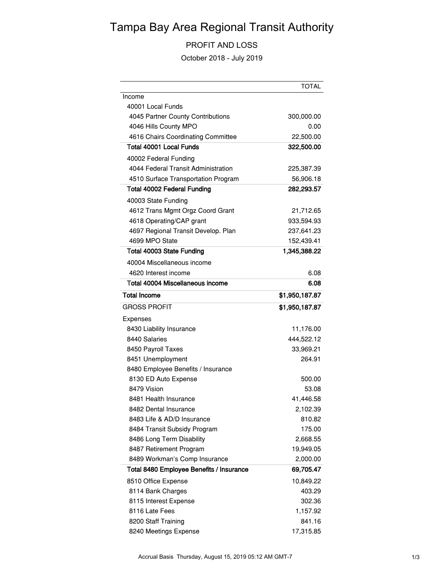# Tampa Bay Area Regional Transit Authority

# PROFIT AND LOSS

October 2018 - July 2019

|                                          | TOTAL          |
|------------------------------------------|----------------|
| Income                                   |                |
| 40001 Local Funds                        |                |
| 4045 Partner County Contributions        | 300,000.00     |
| 4046 Hills County MPO                    | 0.00           |
| 4616 Chairs Coordinating Committee       | 22,500.00      |
| <b>Total 40001 Local Funds</b>           | 322,500.00     |
| 40002 Federal Funding                    |                |
| 4044 Federal Transit Administration      | 225,387.39     |
| 4510 Surface Transportation Program      | 56,906.18      |
| <b>Total 40002 Federal Funding</b>       | 282,293.57     |
| 40003 State Funding                      |                |
| 4612 Trans Mgmt Orgz Coord Grant         | 21,712.65      |
| 4618 Operating/CAP grant                 | 933,594.93     |
| 4697 Regional Transit Develop. Plan      | 237,641.23     |
| 4699 MPO State                           | 152,439.41     |
| Total 40003 State Funding                | 1,345,388.22   |
| 40004 Miscellaneous income               |                |
| 4620 Interest income                     | 6.08           |
| Total 40004 Miscellaneous income         | 6.08           |
| <b>Total Income</b>                      | \$1,950,187.87 |
| <b>GROSS PROFIT</b>                      | \$1,950,187.87 |
| Expenses                                 |                |
| 8430 Liability Insurance                 | 11,176.00      |
| 8440 Salaries                            | 444,522.12     |
| 8450 Payroll Taxes                       | 33,969.21      |
| 8451 Unemployment                        | 264.91         |
| 8480 Employee Benefits / Insurance       |                |
| 8130 ED Auto Expense                     | 500.00         |
| 8479 Vision                              | 53.08          |
| 8481 Health Insurance                    | 41,446.58      |
| 8482 Dental Insurance                    | 2,102.39       |
| 8483 Life & AD/D Insurance               | 810.82         |
| 8484 Transit Subsidy Program             | 175.00         |
| 8486 Long Term Disability                | 2,668.55       |
| 8487 Retirement Program                  | 19,949.05      |
| 8489 Workman's Comp Insurance            | 2,000.00       |
| Total 8480 Employee Benefits / Insurance | 69,705.47      |
| 8510 Office Expense                      | 10,849.22      |
| 8114 Bank Charges                        | 403.29         |
| 8115 Interest Expense                    | 302.36         |
| 8116 Late Fees                           | 1,157.92       |
| 8200 Staff Training                      | 841.16         |
| 8240 Meetings Expense                    | 17,315.85      |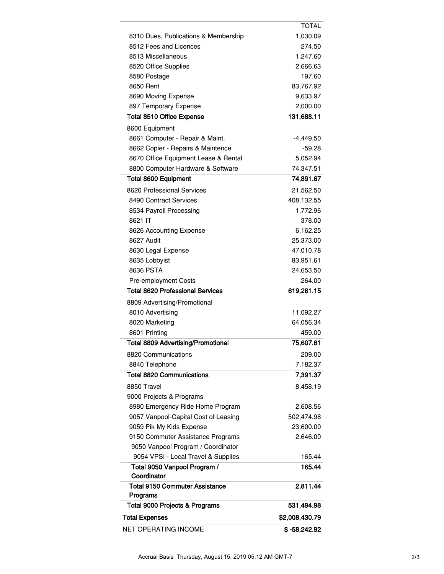| NET OPERATING INCOME                                                 | $$ -58,242.92$          |
|----------------------------------------------------------------------|-------------------------|
| <b>Total Expenses</b>                                                | \$2,008,430.79          |
| Total 9000 Projects & Programs                                       | 531,494.98              |
| Programs                                                             |                         |
| <b>Total 9150 Commuter Assistance</b>                                | 2,811.44                |
| Total 9050 Vanpool Program /<br>Coordinator                          | 165.44                  |
| 9054 VPSI - Local Travel & Supplies                                  | 165.44                  |
| 9050 Vanpool Program / Coordinator                                   |                         |
| 9150 Commuter Assistance Programs                                    | 2,646.00                |
| 9059 Pik My Kids Expense                                             | 23,600.00               |
| 9057 Vanpool-Capital Cost of Leasing                                 | 502,474.98              |
| 8980 Emergency Ride Home Program                                     | 2,608.56                |
| 9000 Projects & Programs                                             |                         |
| 8850 Travel                                                          | 8,458.19                |
| <b>Total 8820 Communications</b>                                     | 7,391.37                |
| 8840 Telephone                                                       | 7,182.37                |
| 8820 Communications                                                  | 209.00                  |
| <b>Total 8809 Advertising/Promotional</b>                            | 75,607.61               |
| 8601 Printing                                                        | 459.00                  |
| 8020 Marketing                                                       | 64,056.34               |
| 8010 Advertising                                                     | 11,092.27               |
| 8809 Advertising/Promotional                                         |                         |
| <b>Total 8620 Professional Services</b>                              | 619,261.15              |
| <b>Pre-employment Costs</b>                                          | 264.00                  |
| 8636 PSTA                                                            | 24,653.50               |
| 8635 Lobbyist                                                        | 83,951.61               |
| 8630 Legal Expense                                                   | 47,010.78               |
| 8627 Audit                                                           | 25,373.00               |
| 8626 Accounting Expense                                              | 6,162.25                |
| 8621 IT                                                              | 378.00                  |
| 8534 Payroll Processing                                              | 1,772.96                |
| 8490 Contract Services                                               | 408,132.55              |
| 8620 Professional Services                                           | 21,562.50               |
| <b>Total 8600 Equipment</b>                                          | 74,891.67               |
| 8800 Computer Hardware & Software                                    | 74,347.51               |
| 8670 Office Equipment Lease & Rental                                 | 5,052.94                |
| 8661 Computer - Repair & Maint.<br>8662 Copier - Repairs & Maintence | $-4,449.50$<br>$-59.28$ |
| 8600 Equipment                                                       |                         |
|                                                                      |                         |
| 897 Temporary Expense<br><b>Total 8510 Office Expense</b>            | 2,000.00<br>131,688.11  |
| 8690 Moving Expense                                                  | 9,633.97                |
| 8650 Rent                                                            | 83,767.92               |
| 8580 Postage                                                         | 197.60                  |
| 8520 Office Supplies                                                 | 2,666.63                |
| 8513 Miscellaneous                                                   | 1,247.60                |
| 8512 Fees and Licences                                               | 274.50                  |
| 8310 Dues, Publications & Membership                                 | 1,030.09                |
|                                                                      | <b>TOTAL</b>            |

 $\overline{a}$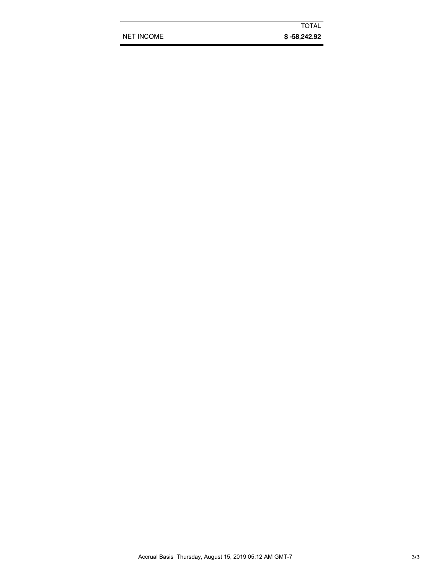|                   | <b>TOTAL</b>   |
|-------------------|----------------|
| <b>NET INCOME</b> | $$ -58,242.92$ |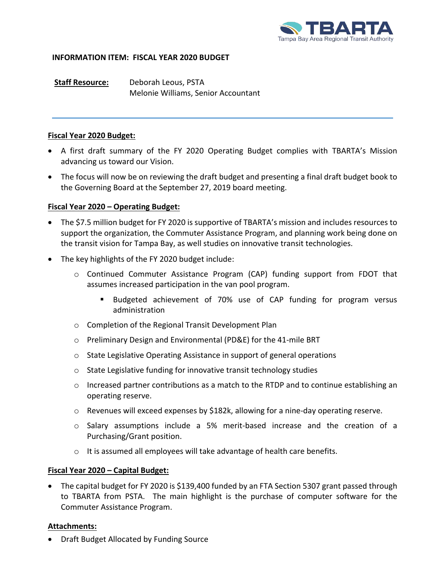

# **INFORMATION ITEM: FISCAL YEAR 2020 BUDGET**

**Staff Resource:** Deborah Leous, PSTA Melonie Williams, Senior Accountant

# **Fiscal Year 2020 Budget:**

- A first draft summary of the FY 2020 Operating Budget complies with TBARTA's Mission advancing us toward our Vision.
- The focus will now be on reviewing the draft budget and presenting a final draft budget book to the Governing Board at the September 27, 2019 board meeting.

# **Fiscal Year 2020 – Operating Budget:**

- The \$7.5 million budget for FY 2020 is supportive of TBARTA's mission and includes resources to support the organization, the Commuter Assistance Program, and planning work being done on the transit vision for Tampa Bay, as well studies on innovative transit technologies.
- The key highlights of the FY 2020 budget include:
	- o Continued Commuter Assistance Program (CAP) funding support from FDOT that assumes increased participation in the van pool program.
		- Budgeted achievement of 70% use of CAP funding for program versus administration
	- o Completion of the Regional Transit Development Plan
	- o Preliminary Design and Environmental (PD&E) for the 41-mile BRT
	- o State Legislative Operating Assistance in support of general operations
	- o State Legislative funding for innovative transit technology studies
	- $\circ$  Increased partner contributions as a match to the RTDP and to continue establishing an operating reserve.
	- o Revenues will exceed expenses by \$182k, allowing for a nine-day operating reserve.
	- o Salary assumptions include a 5% merit-based increase and the creation of a Purchasing/Grant position.
	- $\circ$  It is assumed all employees will take advantage of health care benefits.

# **Fiscal Year 2020 – Capital Budget:**

• The capital budget for FY 2020 is \$139,400 funded by an FTA Section 5307 grant passed through to TBARTA from PSTA. The main highlight is the purchase of computer software for the Commuter Assistance Program.

# **Attachments:**

• Draft Budget Allocated by Funding Source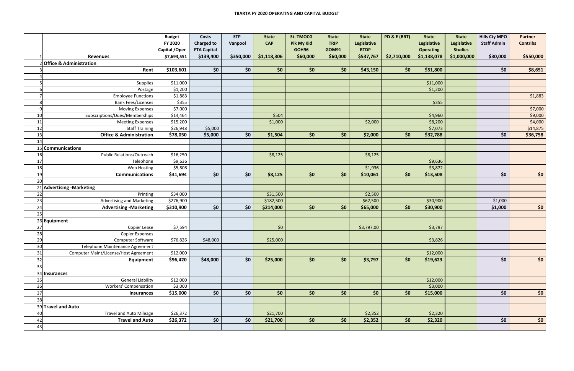|          |                                                      | <b>Budget</b>  | <b>Costs</b>       | <b>STP</b> | <b>State</b> | <b>St. TMOCG</b>  | <b>State</b> | <b>State</b> | <b>PD &amp; E (BRT)</b> | <b>State</b>     | <b>State</b>   | <b>Hills Cty MPO</b> | <b>Partner</b>  |
|----------|------------------------------------------------------|----------------|--------------------|------------|--------------|-------------------|--------------|--------------|-------------------------|------------------|----------------|----------------------|-----------------|
|          |                                                      | FY 2020        | <b>Charged to</b>  | Vanpool    | <b>CAP</b>   | <b>Pik My Kid</b> | <b>TRIP</b>  | Legislative  |                         | Legislative      | Legislative    | <b>Staff Admin</b>   | <b>Contribs</b> |
|          |                                                      | Capital / Oper | <b>FTA Capital</b> |            |              | GOH96             | <b>GOM91</b> | <b>RTDP</b>  |                         | <b>Operating</b> | <b>Studies</b> |                      |                 |
|          | <b>Revenues</b>                                      | \$7,693,551    | \$139,400          | \$350,000  | \$1,118,306  | \$60,000          | \$60,000     | \$537,767    | \$2,710,000             | \$1,138,078      | \$1,000,000    | \$30,000             | \$550,000       |
|          | 2 Office & Administration                            |                |                    |            |              |                   |              |              |                         |                  |                |                      |                 |
|          | Rent                                                 | \$103,601      | \$0                | \$0\$      | \$0          | \$0\$             | \$0          | \$43,150     | \$0\$                   | \$51,800         |                | \$0                  | \$8,651         |
|          |                                                      |                |                    |            |              |                   |              |              |                         |                  |                |                      |                 |
|          | Supplies                                             | \$11,000       |                    |            |              |                   |              |              |                         | \$11,000         |                |                      |                 |
|          | Postage                                              | \$1,200        |                    |            |              |                   |              |              |                         | \$1,200          |                |                      |                 |
|          | <b>Employee Functions</b>                            | \$1,883        |                    |            |              |                   |              |              |                         |                  |                |                      | \$1,883         |
| 8        | <b>Bank Fees/Licenses</b>                            | \$355          |                    |            |              |                   |              |              |                         | \$355            |                |                      |                 |
| O        | Moving Expenses                                      | \$7,000        |                    |            |              |                   |              |              |                         |                  |                |                      | \$7,000         |
| 10       | Subscriptions/Dues/Memberships                       | \$14,464       |                    |            | \$504        |                   |              |              |                         | \$4,960          |                |                      | \$9,000         |
| 11       | <b>Meeting Expenses</b>                              | \$15,200       |                    |            | \$1,000      |                   |              | \$2,000      |                         | \$8,200          |                |                      | \$4,000         |
| 12       | <b>Staff Training</b>                                | \$26,948       | \$5,000            |            |              |                   |              |              |                         | \$7,073          |                |                      | \$14,875        |
| 13       | <b>Office &amp; Administration</b>                   | \$78,050       | \$5,000            | \$0\$      | \$1,504      | \$0\$             | \$0          | \$2,000      | \$0\$                   | \$32,788         |                | \$0                  | \$36,758        |
| 14       |                                                      |                |                    |            |              |                   |              |              |                         |                  |                |                      |                 |
|          | 15 Communications                                    |                |                    |            |              |                   |              |              |                         |                  |                |                      |                 |
| 16       | <b>Public Relations/Outreach</b>                     | \$16,250       |                    |            | \$8,125      |                   |              | \$8,125      |                         |                  |                |                      |                 |
| 17       | Telephone                                            | \$9,636        |                    |            |              |                   |              |              |                         | \$9,636          |                |                      |                 |
| 18       | Web Hosting                                          | \$5,808        |                    |            |              |                   |              | \$1,936      |                         | \$3,872          |                |                      |                 |
| 19<br>20 | <b>Communications</b>                                | \$31,694       | \$0                | \$0\$      | \$8,125      | \$0\$             | \$0          | \$10,061     | \$0\$                   | \$13,508         |                | \$0                  | \$0\$           |
|          |                                                      |                |                    |            |              |                   |              |              |                         |                  |                |                      |                 |
|          | 21 Advertising - Marketing                           |                |                    |            |              |                   |              |              |                         |                  |                |                      |                 |
| 22       | Printing                                             | \$34,000       |                    |            | \$31,500     |                   |              | \$2,500      |                         |                  |                |                      |                 |
| 23       | <b>Advertising and Marketing</b>                     | \$276,900      |                    | \$0\$      | \$182,500    |                   | \$0          | \$62,500     |                         | \$30,900         |                | \$1,000              |                 |
| 24<br>25 | <b>Advertising -Marketing</b>                        | \$310,900      | \$0                |            | \$214,000    | \$0\$             |              | \$65,000     | \$0\$                   | \$30,900         |                | \$1,000              | \$0\$           |
|          |                                                      |                |                    |            |              |                   |              |              |                         |                  |                |                      |                 |
|          | 26 Equipment                                         |                |                    |            |              |                   |              |              |                         |                  |                |                      |                 |
| 27<br>28 | Copier Lease                                         | \$7,594        |                    |            | \$0          |                   |              | \$3,797.00   |                         | \$3,797          |                |                      |                 |
|          | <b>Copier Expenses</b>                               |                |                    |            |              |                   |              |              |                         |                  |                |                      |                 |
| 29<br>30 | Computer Software<br>Telephone Maintenance Agreement | \$76,826       | \$48,000           |            | \$25,000     |                   |              |              |                         | \$3,826          |                |                      |                 |
| 31       | Computer Maint/License/Host Agreement                | \$12,000       |                    |            |              |                   |              |              |                         | \$12,000         |                |                      |                 |
| 32       | <b>Equipment</b>                                     | \$96,420       | \$48,000           | \$0\$      | \$25,000     | \$0               | \$0\$        | \$3,797      | \$0\$                   | \$19,623         |                | \$0                  | \$0\$           |
| 33       |                                                      |                |                    |            |              |                   |              |              |                         |                  |                |                      |                 |
|          | 34 Insurances                                        |                |                    |            |              |                   |              |              |                         |                  |                |                      |                 |
| 35       | <b>General Liability</b>                             | \$12,000       |                    |            |              |                   |              |              |                         | \$12,000         |                |                      |                 |
| 36       | <b>Workers' Compensation</b>                         | \$3,000        |                    |            |              |                   |              |              |                         | \$3,000          |                |                      |                 |
| 37       | <b>Insurances</b>                                    | \$15,000       | \$0                | \$0\$      | \$0\$        | \$0\$             | \$0          | \$0          | \$0\$                   | \$15,000         |                | \$0                  | \$0             |
| 38       |                                                      |                |                    |            |              |                   |              |              |                         |                  |                |                      |                 |
|          | 39 Travel and Auto                                   |                |                    |            |              |                   |              |              |                         |                  |                |                      |                 |
| 40       | <b>Travel and Auto Mileage</b>                       | \$26,372       |                    |            | \$21,700     |                   |              | \$2,352      |                         | \$2,320          |                |                      |                 |
| 42       | <b>Travel and Auto</b>                               | \$26,372       | \$0                | \$0\$      | \$21,700     | \$0\$             | \$0          | \$2,352      | \$0                     | \$2,320          |                | \$0                  | \$0\$           |
| 43       |                                                      |                |                    |            |              |                   |              |              |                         |                  |                |                      |                 |
|          |                                                      |                |                    |            |              |                   |              |              |                         |                  |                |                      |                 |